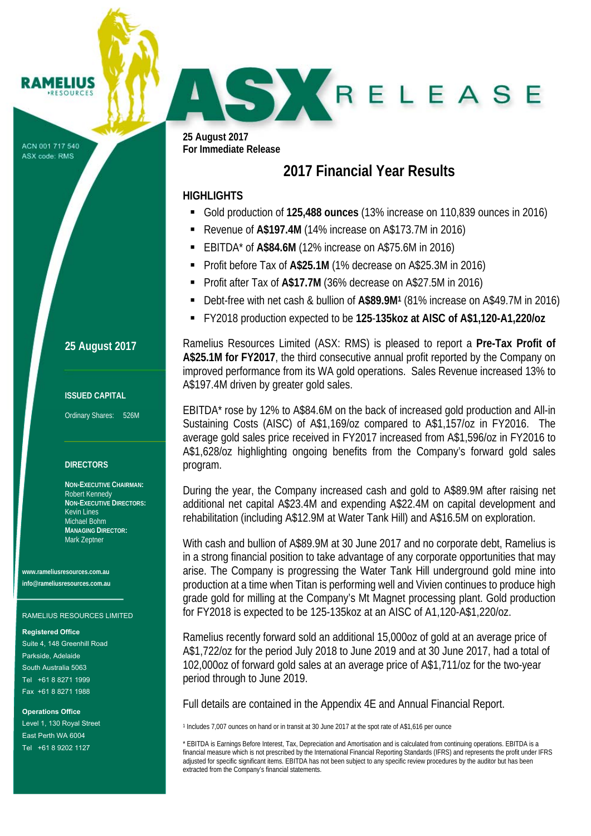ACN 001 717 540 ASX code: RMS

RAMELIUS **RESOURCES** 

**25 August 2017** 

# **ISSUED CAPITAL**

Ordinary Shares: 526M

# **DIRECTORS**

**NON-EXECUTIVE CHAIRMAN:**  Robert Kennedy **NON-EXECUTIVE DIRECTORS:**  Kevin Lines Michael Bohm **MANAGING DIRECTOR:**  Mark Zeptner

**www.rameliusresources.com.au info@rameliusresources.com.au** 

### RAMELIUS RESOURCES LIMITED

#### **Registered Office**

Suite 4, 148 Greenhill Road Parkside, Adelaide South Australia 5063 Tel +61 8 8271 1999 Fax +61 8 8271 1988

**Operations Office**  Level 1, 130 Royal Street East Perth WA 6004 Tel +61 8 9202 1127

**25 August 2017 For Immediate Release** 

# **2017 Financial Year Results**

SKRELEASE

# **HIGHLIGHTS**

- Gold production of **125,488 ounces** (13% increase on 110,839 ounces in 2016)
- Revenue of **A\$197.4M** (14% increase on A\$173.7M in 2016)
- EBITDA\* of **A\$84.6M** (12% increase on A\$75.6M in 2016)
- Profit before Tax of **A\$25.1M** (1% decrease on A\$25.3M in 2016)
- Profit after Tax of **A\$17.7M** (36% decrease on A\$27.5M in 2016)
- Debt-free with net cash & bullion of **A\$89.9M1** (81% increase on A\$49.7M in 2016)
- FY2018 production expected to be **125**-**135koz at AISC of A\$1,120-A1,220/oz**

Ramelius Resources Limited (ASX: RMS) is pleased to report a **Pre-Tax Profit of A\$25.1M for FY2017**, the third consecutive annual profit reported by the Company on improved performance from its WA gold operations. Sales Revenue increased 13% to A\$197.4M driven by greater gold sales.

EBITDA\* rose by 12% to A\$84.6M on the back of increased gold production and All-in Sustaining Costs (AISC) of A\$1,169/oz compared to A\$1,157/oz in FY2016. The average gold sales price received in FY2017 increased from A\$1,596/oz in FY2016 to A\$1,628/oz highlighting ongoing benefits from the Company's forward gold sales program.

During the year, the Company increased cash and gold to A\$89.9M after raising net additional net capital A\$23.4M and expending A\$22.4M on capital development and rehabilitation (including A\$12.9M at Water Tank Hill) and A\$16.5M on exploration.

With cash and bullion of A\$89.9M at 30 June 2017 and no corporate debt, Ramelius is in a strong financial position to take advantage of any corporate opportunities that may arise. The Company is progressing the Water Tank Hill underground gold mine into production at a time when Titan is performing well and Vivien continues to produce high grade gold for milling at the Company's Mt Magnet processing plant. Gold production for FY2018 is expected to be 125-135koz at an AISC of A1,120-A\$1,220/oz.

Ramelius recently forward sold an additional 15,000oz of gold at an average price of A\$1,722/oz for the period July 2018 to June 2019 and at 30 June 2017, had a total of 102,000oz of forward gold sales at an average price of A\$1,711/oz for the two-year period through to June 2019.

Full details are contained in the Appendix 4E and Annual Financial Report.

1 Includes 7,007 ounces on hand or in transit at 30 June 2017 at the spot rate of A\$1,616 per ounce

\* EBITDA is Earnings Before Interest, Tax, Depreciation and Amortisation and is calculated from continuing operations. EBITDA is a financial measure which is not prescribed by the International Financial Reporting Standards (IFRS) and represents the profit under IFRS adjusted for specific significant items. EBITDA has not been subject to any specific review procedures by the auditor but has been extracted from the Company's financial statements.